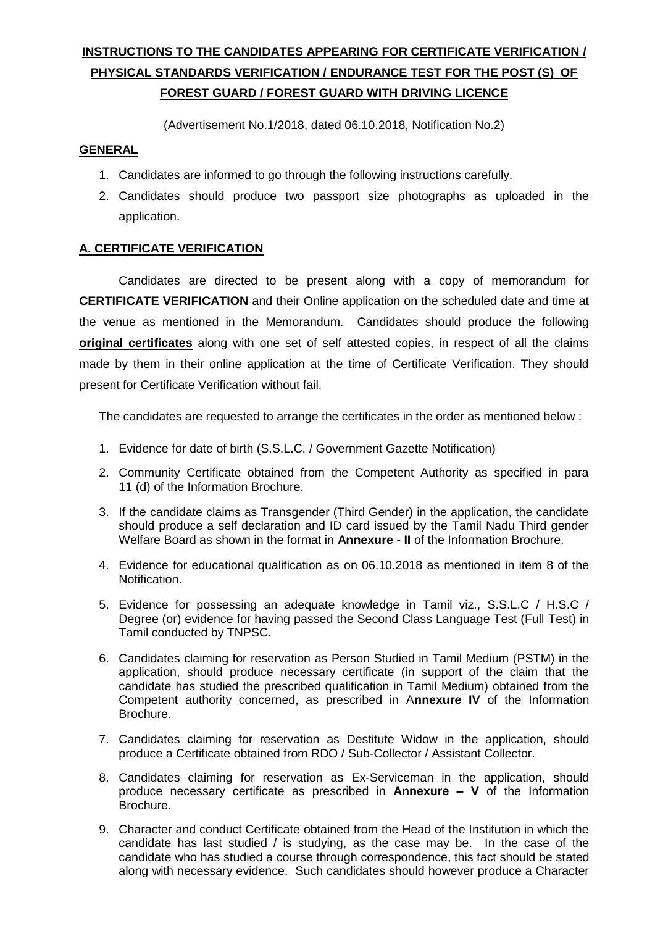# **INSTRUCTIONS TO THE CANDIDATES APPEARING FOR CERTIFICATE VERIFICATION / PHYSICAL STANDARDS VERIFICATION / ENDURANCE TEST FOR THE POST (S) OF FOREST GUARD / FOREST GUARD WITH DRIVING LICENCE**

(Advertisement No.1/2018, dated 06.10.2018, Notification No.2)

### **GENERAL**

- 1. Candidates are informed to go through the following instructions carefully.
- 2. Candidates should produce two passport size photographs as uploaded in the application.

### **A. CERTIFICATE VERIFICATION**

Candidates are directed to be present along with a copy of memorandum for **CERTIFICATE VERIFICATION** and their Online application on the scheduled date and time at the venue as mentioned in the Memorandum. Candidates should produce the following **original certificates** along with one set of self attested copies, in respect of all the claims made by them in their online application at the time of Certificate Verification. They should present for Certificate Verification without fail.

The candidates are requested to arrange the certificates in the order as mentioned below :

- 1. Evidence for date of birth (S.S.L.C. / Government Gazette Notification)
- 2. Community Certificate obtained from the Competent Authority as specified in para 11 (d) of the Information Brochure.
- 3. If the candidate claims as Transgender (Third Gender) in the application, the candidate should produce a self declaration and ID card issued by the Tamil Nadu Third gender Welfare Board as shown in the format in **Annexure - II** of the Information Brochure.
- 4. Evidence for educational qualification as on 06.10.2018 as mentioned in item 8 of the Notification.
- 5. Evidence for possessing an adequate knowledge in Tamil viz., S.S.L.C / H.S.C / Degree (or) evidence for having passed the Second Class Language Test (Full Test) in Tamil conducted by TNPSC.
- 6. Candidates claiming for reservation as Person Studied in Tamil Medium (PSTM) in the application, should produce necessary certificate (in support of the claim that the candidate has studied the prescribed qualification in Tamil Medium) obtained from the Competent authority concerned, as prescribed in A**nnexure IV** of the Information Brochure.
- 7. Candidates claiming for reservation as Destitute Widow in the application, should produce a Certificate obtained from RDO / Sub-Collector / Assistant Collector.
- 8. Candidates claiming for reservation as Ex-Serviceman in the application, should produce necessary certificate as prescribed in **Annexure – V** of the Information Brochure.
- 9. Character and conduct Certificate obtained from the Head of the Institution in which the candidate has last studied / is studying, as the case may be. In the case of the candidate who has studied a course through correspondence, this fact should be stated along with necessary evidence. Such candidates should however produce a Character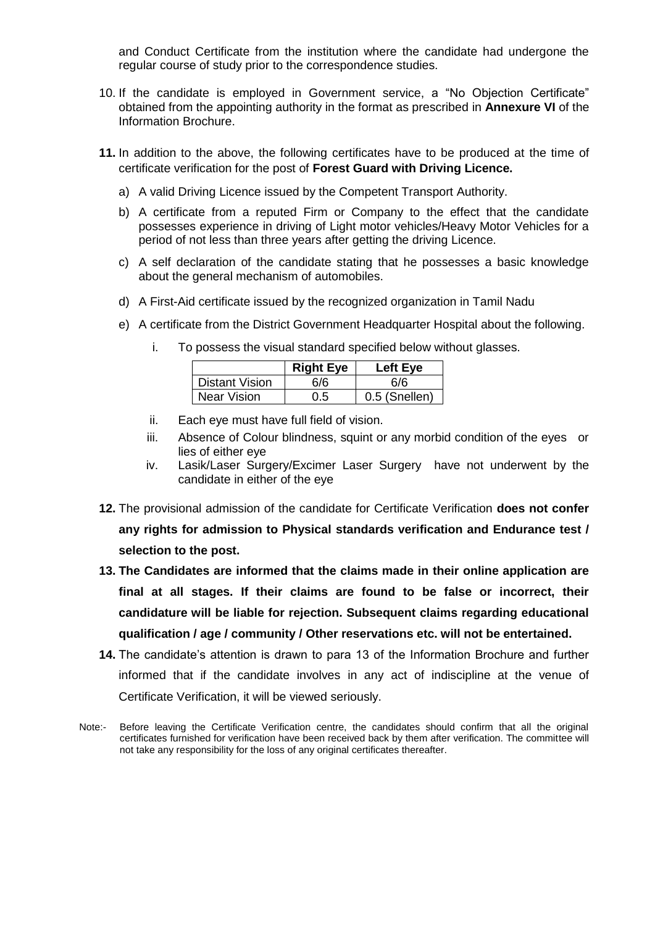and Conduct Certificate from the institution where the candidate had undergone the regular course of study prior to the correspondence studies.

- 10. If the candidate is employed in Government service, a "No Objection Certificate" obtained from the appointing authority in the format as prescribed in **Annexure VI** of the Information Brochure.
- **11.** In addition to the above, the following certificates have to be produced at the time of certificate verification for the post of **Forest Guard with Driving Licence.**
	- a) A valid Driving Licence issued by the Competent Transport Authority.
	- b) A certificate from a reputed Firm or Company to the effect that the candidate possesses experience in driving of Light motor vehicles/Heavy Motor Vehicles for a period of not less than three years after getting the driving Licence.
	- c) A self declaration of the candidate stating that he possesses a basic knowledge about the general mechanism of automobiles.
	- d) A First-Aid certificate issued by the recognized organization in Tamil Nadu
	- e) A certificate from the District Government Headquarter Hospital about the following.
		- i. To possess the visual standard specified below without glasses.

|                       | <b>Right Eye</b> | <b>Left Eve</b> |
|-----------------------|------------------|-----------------|
| <b>Distant Vision</b> | 6/6              | 6/6             |
| <b>Near Vision</b>    | 0.5              | 0.5 (Snellen)   |

- ii. Each eye must have full field of vision.
- iii. Absence of Colour blindness, squint or any morbid condition of the eyes or lies of either eye
- iv. Lasik/Laser Surgery/Excimer Laser Surgery have not underwent by the candidate in either of the eye
- **12.** The provisional admission of the candidate for Certificate Verification **does not confer any rights for admission to Physical standards verification and Endurance test / selection to the post.**
- **13. The Candidates are informed that the claims made in their online application are final at all stages. If their claims are found to be false or incorrect, their candidature will be liable for rejection. Subsequent claims regarding educational qualification / age / community / Other reservations etc. will not be entertained.**
- **14.** The candidate's attention is drawn to para 13 of the Information Brochure and further informed that if the candidate involves in any act of indiscipline at the venue of Certificate Verification, it will be viewed seriously.
- Note:- Before leaving the Certificate Verification centre, the candidates should confirm that all the original certificates furnished for verification have been received back by them after verification. The committee will not take any responsibility for the loss of any original certificates thereafter.